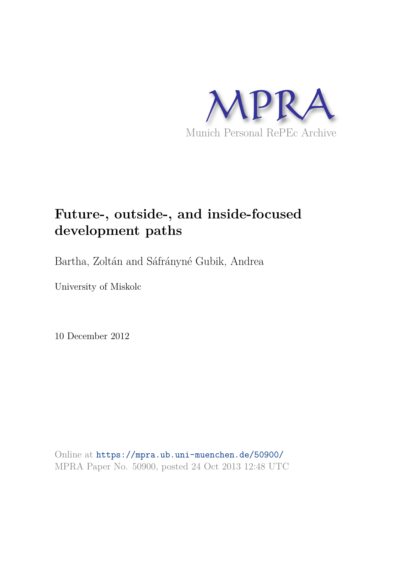

# **Future-, outside-, and inside-focused development paths**

Bartha, Zoltán and Sáfrányné Gubik, Andrea

University of Miskolc

10 December 2012

Online at https://mpra.ub.uni-muenchen.de/50900/ MPRA Paper No. 50900, posted 24 Oct 2013 12:48 UTC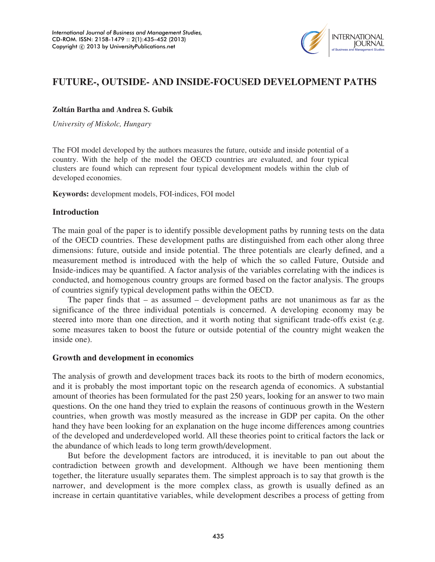

## **FUTURE-, OUTSIDE- AND INSIDE-FOCUSED DEVELOPMENT PATHS**

#### **Zoltán Bartha and Andrea S. Gubik**

*University of Miskolc, Hungary* 

The FOI model developed by the authors measures the future, outside and inside potential of a country. With the help of the model the OECD countries are evaluated, and four typical clusters are found which can represent four typical development models within the club of developed economies.

**Keywords:** development models, FOI-indices, FOI model

#### **Introduction**

The main goal of the paper is to identify possible development paths by running tests on the data of the OECD countries. These development paths are distinguished from each other along three dimensions: future, outside and inside potential. The three potentials are clearly defined, and a measurement method is introduced with the help of which the so called Future, Outside and Inside-indices may be quantified. A factor analysis of the variables correlating with the indices is conducted, and homogenous country groups are formed based on the factor analysis. The groups of countries signify typical development paths within the OECD.

The paper finds that – as assumed – development paths are not unanimous as far as the significance of the three individual potentials is concerned. A developing economy may be steered into more than one direction, and it worth noting that significant trade-offs exist (e.g. some measures taken to boost the future or outside potential of the country might weaken the inside one).

#### **Growth and development in economics**

The analysis of growth and development traces back its roots to the birth of modern economics, and it is probably the most important topic on the research agenda of economics. A substantial amount of theories has been formulated for the past 250 years, looking for an answer to two main questions. On the one hand they tried to explain the reasons of continuous growth in the Western countries, when growth was mostly measured as the increase in GDP per capita. On the other hand they have been looking for an explanation on the huge income differences among countries of the developed and underdeveloped world. All these theories point to critical factors the lack or the abundance of which leads to long term growth/development.

But before the development factors are introduced, it is inevitable to pan out about the contradiction between growth and development. Although we have been mentioning them together, the literature usually separates them. The simplest approach is to say that growth is the narrower, and development is the more complex class, as growth is usually defined as an increase in certain quantitative variables, while development describes a process of getting from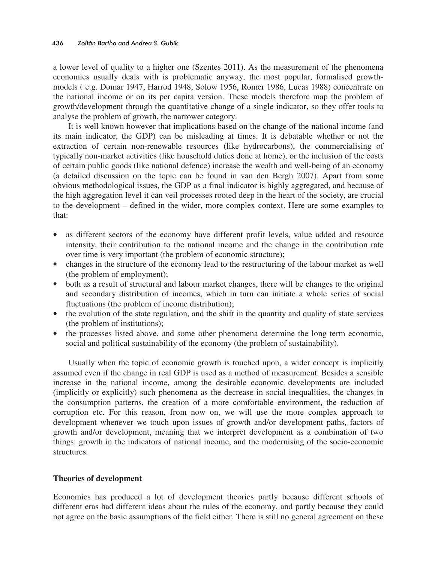a lower level of quality to a higher one (Szentes 2011). As the measurement of the phenomena economics usually deals with is problematic anyway, the most popular, formalised growthmodels ( e.g. Domar 1947, Harrod 1948, Solow 1956, Romer 1986, Lucas 1988) concentrate on the national income or on its per capita version. These models therefore map the problem of growth/development through the quantitative change of a single indicator, so they offer tools to analyse the problem of growth, the narrower category.

It is well known however that implications based on the change of the national income (and its main indicator, the GDP) can be misleading at times. It is debatable whether or not the extraction of certain non-renewable resources (like hydrocarbons), the commercialising of typically non-market activities (like household duties done at home), or the inclusion of the costs of certain public goods (like national defence) increase the wealth and well-being of an economy (a detailed discussion on the topic can be found in van den Bergh 2007). Apart from some obvious methodological issues, the GDP as a final indicator is highly aggregated, and because of the high aggregation level it can veil processes rooted deep in the heart of the society, are crucial to the development – defined in the wider, more complex context. Here are some examples to that:

- as different sectors of the economy have different profit levels, value added and resource intensity, their contribution to the national income and the change in the contribution rate over time is very important (the problem of economic structure);
- changes in the structure of the economy lead to the restructuring of the labour market as well (the problem of employment);
- both as a result of structural and labour market changes, there will be changes to the original and secondary distribution of incomes, which in turn can initiate a whole series of social fluctuations (the problem of income distribution);
- the evolution of the state regulation, and the shift in the quantity and quality of state services (the problem of institutions);
- the processes listed above, and some other phenomena determine the long term economic, social and political sustainability of the economy (the problem of sustainability).

Usually when the topic of economic growth is touched upon, a wider concept is implicitly assumed even if the change in real GDP is used as a method of measurement. Besides a sensible increase in the national income, among the desirable economic developments are included (implicitly or explicitly) such phenomena as the decrease in social inequalities, the changes in the consumption patterns, the creation of a more comfortable environment, the reduction of corruption etc. For this reason, from now on, we will use the more complex approach to development whenever we touch upon issues of growth and/or development paths, factors of growth and/or development, meaning that we interpret development as a combination of two things: growth in the indicators of national income, and the modernising of the socio-economic structures.

## **Theories of development**

Economics has produced a lot of development theories partly because different schools of different eras had different ideas about the rules of the economy, and partly because they could not agree on the basic assumptions of the field either. There is still no general agreement on these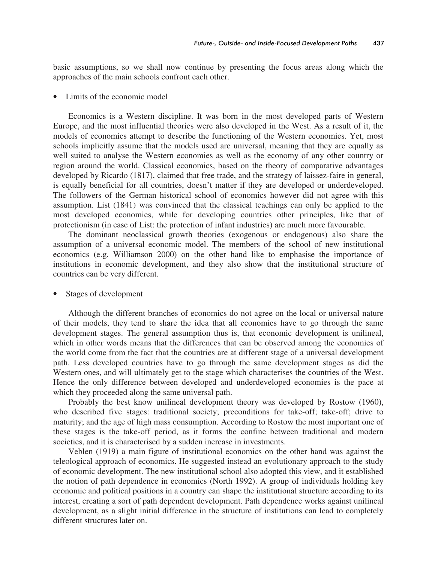basic assumptions, so we shall now continue by presenting the focus areas along which the approaches of the main schools confront each other.

• Limits of the economic model

Economics is a Western discipline. It was born in the most developed parts of Western Europe, and the most influential theories were also developed in the West. As a result of it, the models of economics attempt to describe the functioning of the Western economies. Yet, most schools implicitly assume that the models used are universal, meaning that they are equally as well suited to analyse the Western economies as well as the economy of any other country or region around the world. Classical economics, based on the theory of comparative advantages developed by Ricardo (1817), claimed that free trade, and the strategy of laissez-faire in general, is equally beneficial for all countries, doesn't matter if they are developed or underdeveloped. The followers of the German historical school of economics however did not agree with this assumption. List (1841) was convinced that the classical teachings can only be applied to the most developed economies, while for developing countries other principles, like that of protectionism (in case of List: the protection of infant industries) are much more favourable.

The dominant neoclassical growth theories (exogenous or endogenous) also share the assumption of a universal economic model. The members of the school of new institutional economics (e.g. Williamson 2000) on the other hand like to emphasise the importance of institutions in economic development, and they also show that the institutional structure of countries can be very different.

#### Stages of development

Although the different branches of economics do not agree on the local or universal nature of their models, they tend to share the idea that all economies have to go through the same development stages. The general assumption thus is, that economic development is unilineal, which in other words means that the differences that can be observed among the economies of the world come from the fact that the countries are at different stage of a universal development path. Less developed countries have to go through the same development stages as did the Western ones, and will ultimately get to the stage which characterises the countries of the West. Hence the only difference between developed and underdeveloped economies is the pace at which they proceeded along the same universal path.

Probably the best know unilineal development theory was developed by Rostow (1960), who described five stages: traditional society; preconditions for take-off; take-off; drive to maturity; and the age of high mass consumption. According to Rostow the most important one of these stages is the take-off period, as it forms the confine between traditional and modern societies, and it is characterised by a sudden increase in investments.

Veblen (1919) a main figure of institutional economics on the other hand was against the teleological approach of economics. He suggested instead an evolutionary approach to the study of economic development. The new institutional school also adopted this view, and it established the notion of path dependence in economics (North 1992). A group of individuals holding key economic and political positions in a country can shape the institutional structure according to its interest, creating a sort of path dependent development. Path dependence works against unilineal development, as a slight initial difference in the structure of institutions can lead to completely different structures later on.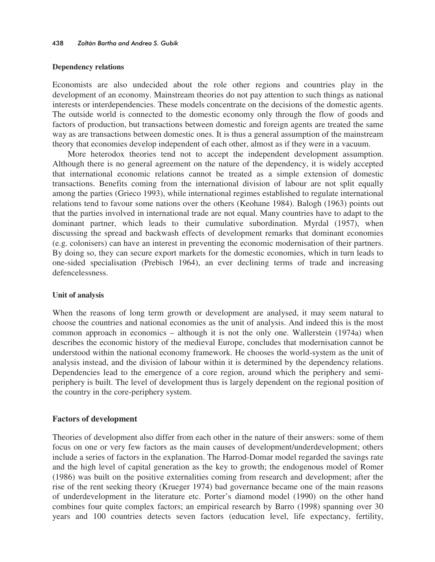#### **Dependency relations**

Economists are also undecided about the role other regions and countries play in the development of an economy. Mainstream theories do not pay attention to such things as national interests or interdependencies. These models concentrate on the decisions of the domestic agents. The outside world is connected to the domestic economy only through the flow of goods and factors of production, but transactions between domestic and foreign agents are treated the same way as are transactions between domestic ones. It is thus a general assumption of the mainstream theory that economies develop independent of each other, almost as if they were in a vacuum.

More heterodox theories tend not to accept the independent development assumption. Although there is no general agreement on the nature of the dependency, it is widely accepted that international economic relations cannot be treated as a simple extension of domestic transactions. Benefits coming from the international division of labour are not split equally among the parties (Grieco 1993), while international regimes established to regulate international relations tend to favour some nations over the others (Keohane 1984). Balogh (1963) points out that the parties involved in international trade are not equal. Many countries have to adapt to the dominant partner, which leads to their cumulative subordination. Myrdal (1957), when discussing the spread and backwash effects of development remarks that dominant economies (e.g. colonisers) can have an interest in preventing the economic modernisation of their partners. By doing so, they can secure export markets for the domestic economies, which in turn leads to one-sided specialisation (Prebisch 1964), an ever declining terms of trade and increasing defencelessness.

#### **Unit of analysis**

When the reasons of long term growth or development are analysed, it may seem natural to choose the countries and national economies as the unit of analysis. And indeed this is the most common approach in economics – although it is not the only one. Wallerstein (1974a) when describes the economic history of the medieval Europe, concludes that modernisation cannot be understood within the national economy framework. He chooses the world-system as the unit of analysis instead, and the division of labour within it is determined by the dependency relations. Dependencies lead to the emergence of a core region, around which the periphery and semiperiphery is built. The level of development thus is largely dependent on the regional position of the country in the core-periphery system.

#### **Factors of development**

Theories of development also differ from each other in the nature of their answers: some of them focus on one or very few factors as the main causes of development/underdevelopment; others include a series of factors in the explanation. The Harrod-Domar model regarded the savings rate and the high level of capital generation as the key to growth; the endogenous model of Romer (1986) was built on the positive externalities coming from research and development; after the rise of the rent seeking theory (Krueger 1974) bad governance became one of the main reasons of underdevelopment in the literature etc. Porter's diamond model (1990) on the other hand combines four quite complex factors; an empirical research by Barro (1998) spanning over 30 years and 100 countries detects seven factors (education level, life expectancy, fertility,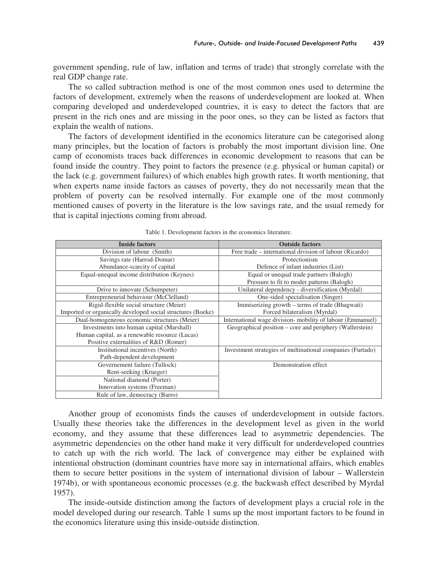government spending, rule of law, inflation and terms of trade) that strongly correlate with the real GDP change rate.

The so called subtraction method is one of the most common ones used to determine the factors of development, extremely when the reasons of underdevelopment are looked at. When comparing developed and underdeveloped countries, it is easy to detect the factors that are present in the rich ones and are missing in the poor ones, so they can be listed as factors that explain the wealth of nations.

The factors of development identified in the economics literature can be categorised along many principles, but the location of factors is probably the most important division line. One camp of economists traces back differences in economic development to reasons that can be found inside the country. They point to factors the presence (e.g. physical or human capital) or the lack (e.g. government failures) of which enables high growth rates. It worth mentioning, that when experts name inside factors as causes of poverty, they do not necessarily mean that the problem of poverty can be resolved internally. For example one of the most commonly mentioned causes of poverty in the literature is the low savings rate, and the usual remedy for that is capital injections coming from abroad.

| <b>Inside factors</b>                                       | <b>Outside factors</b>                                     |
|-------------------------------------------------------------|------------------------------------------------------------|
| Division of labour (Smith)                                  | Free trade – international division of labour (Ricardo)    |
| Savings rate (Harrod-Domar)                                 | Protectionism                                              |
| Abundance-scarcity of capital                               | Defence of infant industries (List)                        |
| Equal-unequal income distribution (Keynes)                  | Equal or unequal trade partners (Balogh)                   |
|                                                             | Pressure to fit to moder patterns (Balogh)                 |
| Drive to innovate (Schumpeter)                              | Unilateral dependency - diversification (Myrdal)           |
| Entrepreneurial behaviour (McClelland)                      | One-sided specialisation (Singer)                          |
| Rigid-flexible social structure (Meier)                     | Immiserizing growth - terms of trade (Bhagwati)            |
| Imported or organically developed social structures (Boeke) | Forced bilateralism (Myrdal)                               |
| Dual-homogeneous economic structures (Meier)                | International wage division- mobility of labour (Emmanuel) |
| Investments into human capital (Marshall)                   | Geographical position – core and periphery (Wallerstein)   |
| Human capital, as a renewable resource (Lucas)              |                                                            |
| Positive externalities of R&D (Romer)                       |                                                            |
| Institutional incentives (North)                            | Investment strategies of multinational companies (Furtado) |
| Path-dependent development                                  |                                                            |
| Governement failure (Tullock)                               | Demonstration effect                                       |
| Rent-seeking (Krueger)                                      |                                                            |
| National diamond (Porter)                                   |                                                            |
| Innovation systems (Freeman)                                |                                                            |
| Rule of law, democracy (Barro)                              |                                                            |

Table 1. Development factors in the economics literature.

Another group of economists finds the causes of underdevelopment in outside factors. Usually these theories take the differences in the development level as given in the world economy, and they assume that these differences lead to asymmetric dependencies. The asymmetric dependencies on the other hand make it very difficult for underdeveloped countries to catch up with the rich world. The lack of convergence may either be explained with intentional obstruction (dominant countries have more say in international affairs, which enables them to secure better positions in the system of international division of labour – Wallerstein 1974b), or with spontaneous economic processes (e.g. the backwash effect described by Myrdal 1957).

The inside-outside distinction among the factors of development plays a crucial role in the model developed during our research. Table 1 sums up the most important factors to be found in the economics literature using this inside-outside distinction.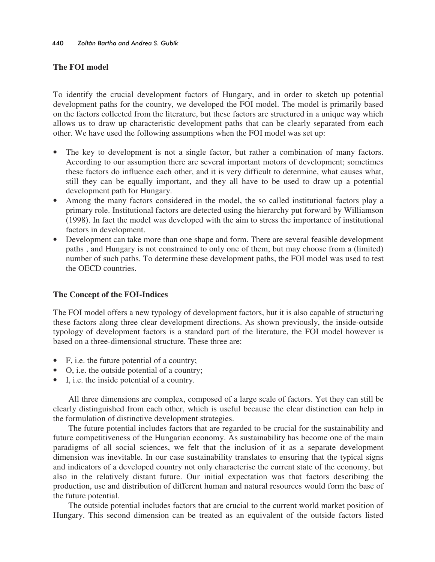## **The FOI model**

To identify the crucial development factors of Hungary, and in order to sketch up potential development paths for the country, we developed the FOI model. The model is primarily based on the factors collected from the literature, but these factors are structured in a unique way which allows us to draw up characteristic development paths that can be clearly separated from each other. We have used the following assumptions when the FOI model was set up:

- The key to development is not a single factor, but rather a combination of many factors. According to our assumption there are several important motors of development; sometimes these factors do influence each other, and it is very difficult to determine, what causes what, still they can be equally important, and they all have to be used to draw up a potential development path for Hungary.
- Among the many factors considered in the model, the so called institutional factors play a primary role. Institutional factors are detected using the hierarchy put forward by Williamson (1998). In fact the model was developed with the aim to stress the importance of institutional factors in development.
- Development can take more than one shape and form. There are several feasible development paths , and Hungary is not constrained to only one of them, but may choose from a (limited) number of such paths. To determine these development paths, the FOI model was used to test the OECD countries.

## **The Concept of the FOI-Indices**

The FOI model offers a new typology of development factors, but it is also capable of structuring these factors along three clear development directions. As shown previously, the inside-outside typology of development factors is a standard part of the literature, the FOI model however is based on a three-dimensional structure. These three are:

- F, i.e. the future potential of a country;
- O, i.e. the outside potential of a country;
- I, i.e. the inside potential of a country.

All three dimensions are complex, composed of a large scale of factors. Yet they can still be clearly distinguished from each other, which is useful because the clear distinction can help in the formulation of distinctive development strategies.

The future potential includes factors that are regarded to be crucial for the sustainability and future competitiveness of the Hungarian economy. As sustainability has become one of the main paradigms of all social sciences, we felt that the inclusion of it as a separate development dimension was inevitable. In our case sustainability translates to ensuring that the typical signs and indicators of a developed country not only characterise the current state of the economy, but also in the relatively distant future. Our initial expectation was that factors describing the production, use and distribution of different human and natural resources would form the base of the future potential.

The outside potential includes factors that are crucial to the current world market position of Hungary. This second dimension can be treated as an equivalent of the outside factors listed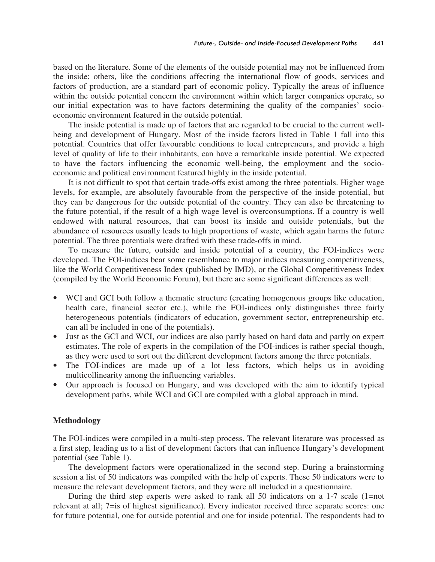based on the literature. Some of the elements of the outside potential may not be influenced from the inside; others, like the conditions affecting the international flow of goods, services and factors of production, are a standard part of economic policy. Typically the areas of influence within the outside potential concern the environment within which larger companies operate, so our initial expectation was to have factors determining the quality of the companies' socioeconomic environment featured in the outside potential.

The inside potential is made up of factors that are regarded to be crucial to the current wellbeing and development of Hungary. Most of the inside factors listed in Table 1 fall into this potential. Countries that offer favourable conditions to local entrepreneurs, and provide a high level of quality of life to their inhabitants, can have a remarkable inside potential. We expected to have the factors influencing the economic well-being, the employment and the socioeconomic and political environment featured highly in the inside potential.

It is not difficult to spot that certain trade-offs exist among the three potentials. Higher wage levels, for example, are absolutely favourable from the perspective of the inside potential, but they can be dangerous for the outside potential of the country. They can also be threatening to the future potential, if the result of a high wage level is overconsumptions. If a country is well endowed with natural resources, that can boost its inside and outside potentials, but the abundance of resources usually leads to high proportions of waste, which again harms the future potential. The three potentials were drafted with these trade-offs in mind.

To measure the future, outside and inside potential of a country, the FOI-indices were developed. The FOI-indices bear some resemblance to major indices measuring competitiveness, like the World Competitiveness Index (published by IMD), or the Global Competitiveness Index (compiled by the World Economic Forum), but there are some significant differences as well:

- WCI and GCI both follow a thematic structure (creating homogenous groups like education, health care, financial sector etc.), while the FOI-indices only distinguishes three fairly heterogeneous potentials (indicators of education, government sector, entrepreneurship etc. can all be included in one of the potentials).
- Just as the GCI and WCI, our indices are also partly based on hard data and partly on expert estimates. The role of experts in the compilation of the FOI-indices is rather special though, as they were used to sort out the different development factors among the three potentials.
- The FOI-indices are made up of a lot less factors, which helps us in avoiding multicollinearity among the influencing variables.
- Our approach is focused on Hungary, and was developed with the aim to identify typical development paths, while WCI and GCI are compiled with a global approach in mind.

#### **Methodology**

The FOI-indices were compiled in a multi-step process. The relevant literature was processed as a first step, leading us to a list of development factors that can influence Hungary's development potential (see Table 1).

The development factors were operationalized in the second step. During a brainstorming session a list of 50 indicators was compiled with the help of experts. These 50 indicators were to measure the relevant development factors, and they were all included in a questionnaire.

During the third step experts were asked to rank all 50 indicators on a 1-7 scale (1=not relevant at all; 7=is of highest significance). Every indicator received three separate scores: one for future potential, one for outside potential and one for inside potential. The respondents had to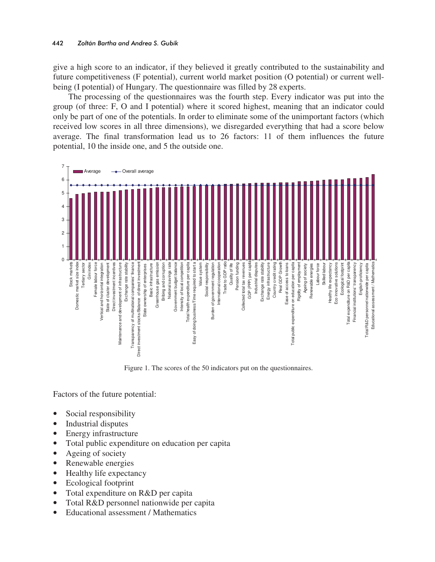give a high score to an indicator, if they believed it greatly contributed to the sustainability and future competitiveness (F potential), current world market position (O potential) or current wellbeing (I potential) of Hungary. The questionnaire was filled by 28 experts.

The processing of the questionnaires was the fourth step. Every indicator was put into the group (of three: F, O and I potential) where it scored highest, meaning that an indicator could only be part of one of the potentials. In order to eliminate some of the unimportant factors (which received low scores in all three dimensions), we disregarded everything that had a score below average. The final transformation lead us to 26 factors: 11 of them influences the future potential, 10 the inside one, and 5 the outside one.



Figure 1. The scores of the 50 indicators put on the questionnaires.

Factors of the future potential:

- Social responsibility
- Industrial disputes
- Energy infrastructure
- Total public expenditure on education per capita
- Ageing of society
- Renewable energies
- Healthy life expectancy
- Ecological footprint
- Total expenditure on R&D per capita
- Total R&D personnel nationwide per capita
- Educational assessment / Mathematics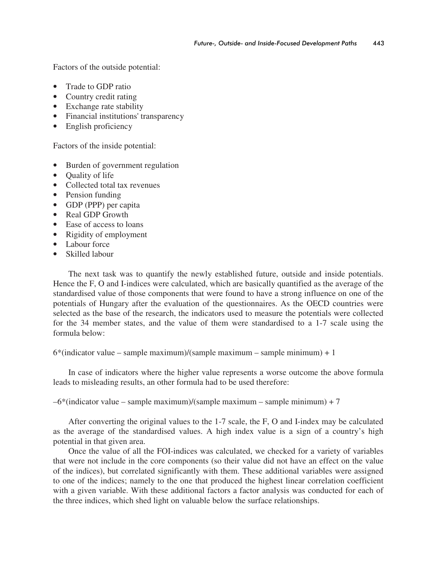Factors of the outside potential:

- Trade to GDP ratio
- Country credit rating
- Exchange rate stability
- Financial institutions' transparency
- English proficiency

Factors of the inside potential:

- Burden of government regulation
- Quality of life
- Collected total tax revenues
- Pension funding
- GDP (PPP) per capita
- Real GDP Growth
- Ease of access to loans
- Rigidity of employment
- Labour force
- Skilled labour

The next task was to quantify the newly established future, outside and inside potentials. Hence the F, O and I-indices were calculated, which are basically quantified as the average of the standardised value of those components that were found to have a strong influence on one of the potentials of Hungary after the evaluation of the questionnaires. As the OECD countries were selected as the base of the research, the indicators used to measure the potentials were collected for the 34 member states, and the value of them were standardised to a 1-7 scale using the formula below:

 $6*(indicate value - sample maximum)/(sample maximum - sample minimum) + 1$ 

In case of indicators where the higher value represents a worse outcome the above formula leads to misleading results, an other formula had to be used therefore:

 $-6$ \*(indicator value – sample maximum)/(sample maximum – sample minimum) + 7

After converting the original values to the 1-7 scale, the F, O and I-index may be calculated as the average of the standardised values. A high index value is a sign of a country's high potential in that given area.

Once the value of all the FOI-indices was calculated, we checked for a variety of variables that were not include in the core components (so their value did not have an effect on the value of the indices), but correlated significantly with them. These additional variables were assigned to one of the indices; namely to the one that produced the highest linear correlation coefficient with a given variable. With these additional factors a factor analysis was conducted for each of the three indices, which shed light on valuable below the surface relationships.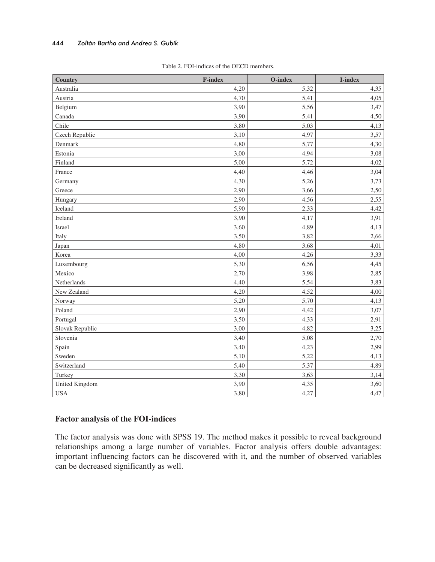| <b>Country</b>  | <b>F-index</b> | O-index | I-index |
|-----------------|----------------|---------|---------|
| Australia       | 4,20           | 5,32    | 4,35    |
| Austria         | 4,70           | 5,41    | 4,05    |
| Belgium         | 3,90           | 5,56    | 3,47    |
| Canada          | 3,90           | 5,41    | 4,50    |
| Chile           | 3,80           | 5,03    | 4,13    |
| Czech Republic  | 3,10           | 4,97    | 3,57    |
| Denmark         | 4,80           | 5,77    | 4,30    |
| Estonia         | 3,00           | 4,94    | 3,08    |
| Finland         | 5,00           | 5,72    | 4,02    |
| France          | 4,40           | 4,46    | 3,04    |
| Germany         | 4,30           | 5,26    | 3,73    |
| Greece          | 2,90           | 3,66    | 2,50    |
| Hungary         | 2,90           | 4,56    | 2,55    |
| Iceland         | 5,90           | 2,33    | 4,42    |
| Ireland         | 3,90           | 4,17    | 3,91    |
| Israel          | 3,60           | 4,89    | 4,13    |
| Italy           | 3,50           | 3,82    | 2,66    |
| Japan           | 4,80           | 3,68    | 4,01    |
| Korea           | 4,00           | 4,26    | 3,33    |
| Luxembourg      | 5,30           | 6,56    | 4,45    |
| Mexico          | 2,70           | 3,98    | 2,85    |
| Netherlands     | 4,40           | 5,54    | 3,83    |
| New Zealand     | 4,20           | 4,52    | 4,00    |
| Norway          | 5,20           | 5,70    | 4,13    |
| Poland          | 2,90           | 4,42    | 3,07    |
| Portugal        | 3,50           | 4,33    | 2,91    |
| Slovak Republic | 3,00           | 4,82    | 3,25    |
| Slovenia        | 3,40           | 5,08    | 2,70    |
| Spain           | 3,40           | 4,23    | 2,99    |
| Sweden          | 5,10           | 5,22    | 4,13    |
| Switzerland     | 5,40           | 5,37    | 4,89    |
| Turkey          | 3,30           | 3,63    | 3,14    |
| United Kingdom  | 3,90           | 4,35    | 3,60    |
| <b>USA</b>      | 3,80           | 4,27    | 4,47    |

|  | Table 2. FOI-indices of the OECD members. |  |
|--|-------------------------------------------|--|
|  |                                           |  |

## **Factor analysis of the FOI-indices**

The factor analysis was done with SPSS 19. The method makes it possible to reveal background relationships among a large number of variables. Factor analysis offers double advantages: important influencing factors can be discovered with it, and the number of observed variables can be decreased significantly as well.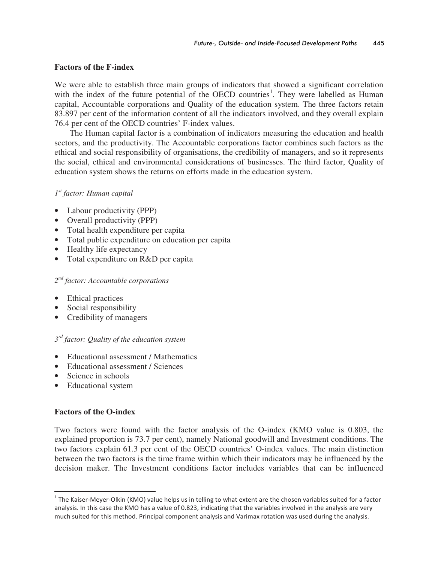## **Factors of the F-index**

We were able to establish three main groups of indicators that showed a significant correlation with the index of the future potential of the OECD countries<sup>1</sup>. They were labelled as Human capital, Accountable corporations and Quality of the education system. The three factors retain 83.897 per cent of the information content of all the indicators involved, and they overall explain 76.4 per cent of the OECD countries' F-index values.

The Human capital factor is a combination of indicators measuring the education and health sectors, and the productivity. The Accountable corporations factor combines such factors as the ethical and social responsibility of organisations, the credibility of managers, and so it represents the social, ethical and environmental considerations of businesses. The third factor, Quality of education system shows the returns on efforts made in the education system.

## *1 st factor: Human capital*

- Labour productivity (PPP)
- Overall productivity (PPP)
- Total health expenditure per capita
- Total public expenditure on education per capita
- Healthy life expectancy
- Total expenditure on R&D per capita

#### *2 nd factor: Accountable corporations*

- Ethical practices
- Social responsibility
- Credibility of managers

## *3 rd factor: Quality of the education system*

- Educational assessment / Mathematics
- Educational assessment / Sciences
- Science in schools
- Educational system

## **Factors of the O-index**

<u> Andreas Andrew Maria (1989)</u>

Two factors were found with the factor analysis of the O-index (KMO value is 0.803, the explained proportion is 73.7 per cent), namely National goodwill and Investment conditions. The two factors explain 61.3 per cent of the OECD countries' O-index values. The main distinction between the two factors is the time frame within which their indicators may be influenced by the decision maker. The Investment conditions factor includes variables that can be influenced

 $^{\rm 1}$  The Kaiser-Meyer-Olkin (KMO) value helps us in telling to what extent are the chosen variables suited for a factor analysis. In this case the KMO has a value of 0.823, indicating that the variables involved in the analysis are very much suited for this method. Principal component analysis and Varimax rotation was used during the analysis.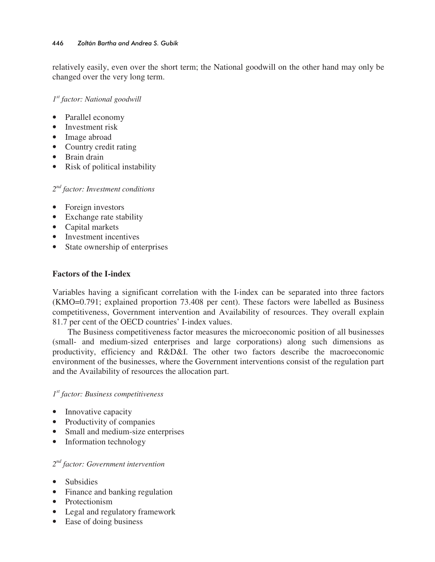relatively easily, even over the short term; the National goodwill on the other hand may only be changed over the very long term.

*1 st factor: National goodwill* 

- Parallel economy
- Investment risk
- Image abroad
- Country credit rating
- Brain drain
- Risk of political instability

*2 nd factor: Investment conditions* 

- Foreign investors
- Exchange rate stability
- Capital markets
- Investment incentives
- State ownership of enterprises

## **Factors of the I-index**

Variables having a significant correlation with the I-index can be separated into three factors (KMO=0.791; explained proportion 73.408 per cent). These factors were labelled as Business competitiveness, Government intervention and Availability of resources. They overall explain 81.7 per cent of the OECD countries' I-index values.

The Business competitiveness factor measures the microeconomic position of all businesses (small- and medium-sized enterprises and large corporations) along such dimensions as productivity, efficiency and R&D&I. The other two factors describe the macroeconomic environment of the businesses, where the Government interventions consist of the regulation part and the Availability of resources the allocation part.

## *1 st factor: Business competitiveness*

- Innovative capacity
- Productivity of companies
- Small and medium-size enterprises
- Information technology

## *2 nd factor: Government intervention*

- Subsidies
- Finance and banking regulation
- Protectionism
- Legal and regulatory framework
- Ease of doing business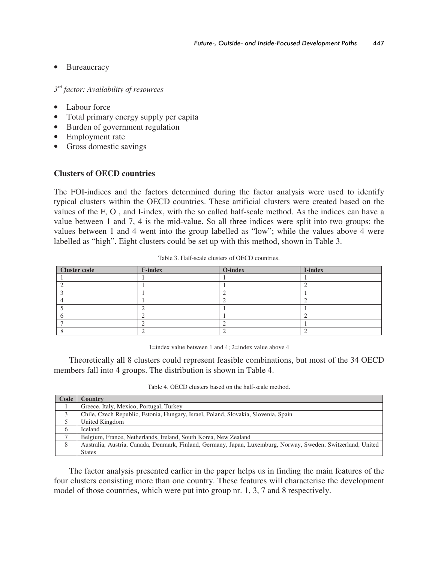## • Bureaucracy

*3 rd factor: Availability of resources* 

- Labour force
- Total primary energy supply per capita
- Burden of government regulation
- Employment rate
- Gross domestic savings

## **Clusters of OECD countries**

The FOI-indices and the factors determined during the factor analysis were used to identify typical clusters within the OECD countries. These artificial clusters were created based on the values of the F, O , and I-index, with the so called half-scale method. As the indices can have a value between 1 and 7, 4 is the mid-value. So all three indices were split into two groups: the values between 1 and 4 went into the group labelled as "low"; while the values above 4 were labelled as "high". Eight clusters could be set up with this method, shown in Table 3.

| Cluster code | <b>F-index</b> | O-index | I-index |
|--------------|----------------|---------|---------|
|              |                |         |         |
|              |                |         |         |
|              |                |         |         |
|              |                |         |         |
|              |                |         |         |
|              |                |         |         |
|              |                |         |         |
|              |                |         |         |

Table 3. Half-scale clusters of OECD countries.

1=index value between 1 and 4; 2=index value above 4

Theoretically all 8 clusters could represent feasible combinations, but most of the 34 OECD members fall into 4 groups. The distribution is shown in Table 4.

Table 4. OECD clusters based on the half-scale method.

| Code | Country                                                                                                      |
|------|--------------------------------------------------------------------------------------------------------------|
|      | Greece, Italy, Mexico, Portugal, Turkey                                                                      |
| 3    | Chile, Czech Republic, Estonia, Hungary, Israel, Poland, Slovakia, Slovenia, Spain                           |
|      | United Kingdom                                                                                               |
| 6    | <b>Iceland</b>                                                                                               |
|      | Belgium, France, Netherlands, Ireland, South Korea, New Zealand                                              |
| 8    | Australia, Austria, Canada, Denmark, Finland, Germany, Japan, Luxemburg, Norway, Sweden, Switzerland, United |
|      | <b>States</b>                                                                                                |

The factor analysis presented earlier in the paper helps us in finding the main features of the four clusters consisting more than one country. These features will characterise the development model of those countries, which were put into group nr. 1, 3, 7 and 8 respectively.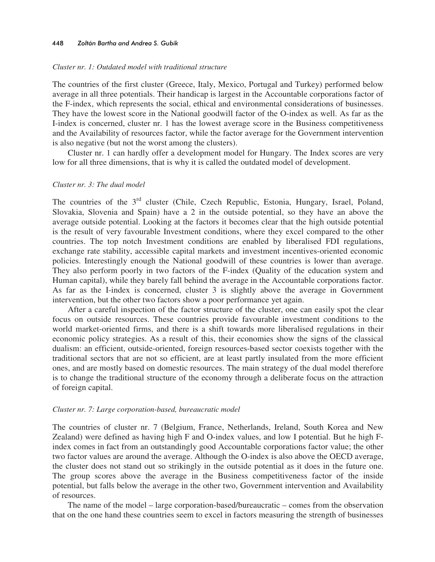#### *Cluster nr. 1: Outdated model with traditional structure*

The countries of the first cluster (Greece, Italy, Mexico, Portugal and Turkey) performed below average in all three potentials. Their handicap is largest in the Accountable corporations factor of the F-index, which represents the social, ethical and environmental considerations of businesses. They have the lowest score in the National goodwill factor of the O-index as well. As far as the I-index is concerned, cluster nr. 1 has the lowest average score in the Business competitiveness and the Availability of resources factor, while the factor average for the Government intervention is also negative (but not the worst among the clusters).

Cluster nr. 1 can hardly offer a development model for Hungary. The Index scores are very low for all three dimensions, that is why it is called the outdated model of development.

#### *Cluster nr. 3: The dual model*

The countries of the 3<sup>rd</sup> cluster (Chile, Czech Republic, Estonia, Hungary, Israel, Poland, Slovakia, Slovenia and Spain) have a 2 in the outside potential, so they have an above the average outside potential. Looking at the factors it becomes clear that the high outside potential is the result of very favourable Investment conditions, where they excel compared to the other countries. The top notch Investment conditions are enabled by liberalised FDI regulations, exchange rate stability, accessible capital markets and investment incentives-oriented economic policies. Interestingly enough the National goodwill of these countries is lower than average. They also perform poorly in two factors of the F-index (Quality of the education system and Human capital), while they barely fall behind the average in the Accountable corporations factor. As far as the I-index is concerned, cluster 3 is slightly above the average in Government intervention, but the other two factors show a poor performance yet again.

After a careful inspection of the factor structure of the cluster, one can easily spot the clear focus on outside resources. These countries provide favourable investment conditions to the world market-oriented firms, and there is a shift towards more liberalised regulations in their economic policy strategies. As a result of this, their economies show the signs of the classical dualism: an efficient, outside-oriented, foreign resources-based sector coexists together with the traditional sectors that are not so efficient, are at least partly insulated from the more efficient ones, and are mostly based on domestic resources. The main strategy of the dual model therefore is to change the traditional structure of the economy through a deliberate focus on the attraction of foreign capital.

#### *Cluster nr. 7: Large corporation-based, bureaucratic model*

The countries of cluster nr. 7 (Belgium, France, Netherlands, Ireland, South Korea and New Zealand) were defined as having high F and O-index values, and low I potential. But he high Findex comes in fact from an outstandingly good Accountable corporations factor value; the other two factor values are around the average. Although the O-index is also above the OECD average, the cluster does not stand out so strikingly in the outside potential as it does in the future one. The group scores above the average in the Business competitiveness factor of the inside potential, but falls below the average in the other two, Government intervention and Availability of resources.

The name of the model – large corporation-based/bureaucratic – comes from the observation that on the one hand these countries seem to excel in factors measuring the strength of businesses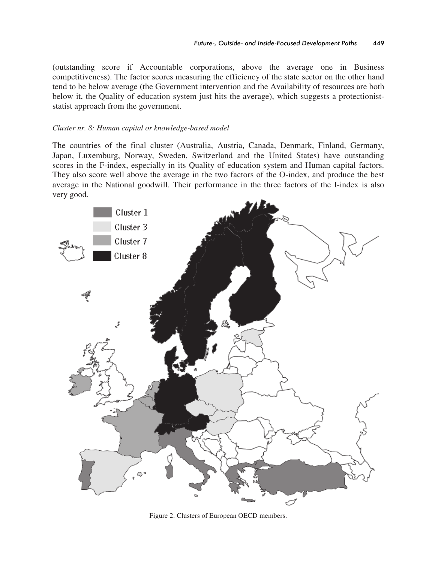(outstanding score if Accountable corporations, above the average one in Business competitiveness). The factor scores measuring the efficiency of the state sector on the other hand tend to be below average (the Government intervention and the Availability of resources are both below it, the Quality of education system just hits the average), which suggests a protectioniststatist approach from the government.

#### *Cluster nr. 8: Human capital or knowledge-based model*

The countries of the final cluster (Australia, Austria, Canada, Denmark, Finland, Germany, Japan, Luxemburg, Norway, Sweden, Switzerland and the United States) have outstanding scores in the F-index, especially in its Quality of education system and Human capital factors. They also score well above the average in the two factors of the O-index, and produce the best average in the National goodwill. Their performance in the three factors of the I-index is also very good.



Figure 2. Clusters of European OECD members.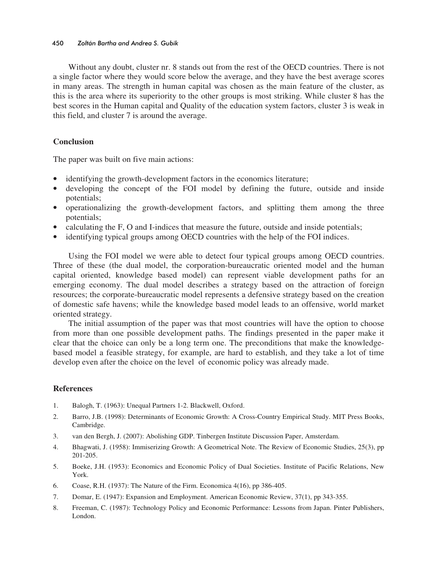Without any doubt, cluster nr. 8 stands out from the rest of the OECD countries. There is not a single factor where they would score below the average, and they have the best average scores in many areas. The strength in human capital was chosen as the main feature of the cluster, as this is the area where its superiority to the other groups is most striking. While cluster 8 has the best scores in the Human capital and Quality of the education system factors, cluster 3 is weak in this field, and cluster 7 is around the average.

#### **Conclusion**

The paper was built on five main actions:

- identifying the growth-development factors in the economics literature;
- developing the concept of the FOI model by defining the future, outside and inside potentials;
- operationalizing the growth-development factors, and splitting them among the three potentials;
- calculating the F, O and I-indices that measure the future, outside and inside potentials;
- identifying typical groups among OECD countries with the help of the FOI indices.

Using the FOI model we were able to detect four typical groups among OECD countries. Three of these (the dual model, the corporation-bureaucratic oriented model and the human capital oriented, knowledge based model) can represent viable development paths for an emerging economy. The dual model describes a strategy based on the attraction of foreign resources; the corporate-bureaucratic model represents a defensive strategy based on the creation of domestic safe havens; while the knowledge based model leads to an offensive, world market oriented strategy.

The initial assumption of the paper was that most countries will have the option to choose from more than one possible development paths. The findings presented in the paper make it clear that the choice can only be a long term one. The preconditions that make the knowledgebased model a feasible strategy, for example, are hard to establish, and they take a lot of time develop even after the choice on the level of economic policy was already made.

#### **References**

- 1. Balogh, T. (1963): Unequal Partners 1-2. Blackwell, Oxford.
- 2. Barro, J.B. (1998): Determinants of Economic Growth: A Cross-Country Empirical Study. MIT Press Books, Cambridge.
- 3. van den Bergh, J. (2007): Abolishing GDP. Tinbergen Institute Discussion Paper, Amsterdam.
- 4. Bhagwati, J. (1958): Immiserizing Growth: A Geometrical Note. The Review of Economic Studies, 25(3), pp 201-205.
- 5. Boeke, J.H. (1953): Economics and Economic Policy of Dual Societies. Institute of Pacific Relations, New York.
- 6. Coase, R.H. (1937): The Nature of the Firm. Economica 4(16), pp 386-405.
- 7. Domar, E. (1947): Expansion and Employment. American Economic Review, 37(1), pp 343-355.
- 8. Freeman, C. (1987): Technology Policy and Economic Performance: Lessons from Japan. Pinter Publishers, London.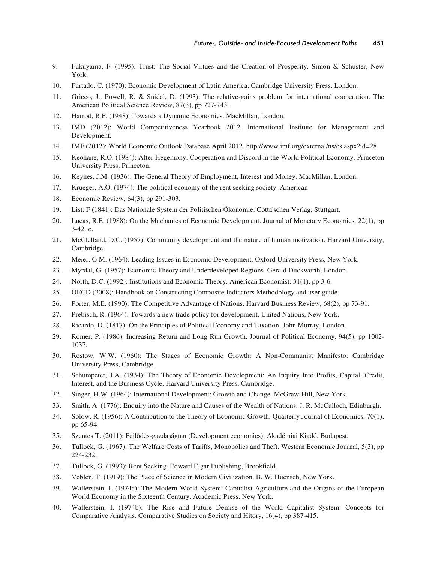- 9. Fukuyama, F. (1995): Trust: The Social Virtues and the Creation of Prosperity. Simon & Schuster, New York.
- 10. Furtado, C. (1970): Economic Development of Latin America. Cambridge University Press, London.
- 11. Grieco, J., Powell, R. & Snidal, D. (1993): The relative-gains problem for international cooperation. The American Political Science Review, 87(3), pp 727-743.
- 12. Harrod, R.F. (1948): Towards a Dynamic Economics. MacMillan, London.
- 13. IMD (2012): World Competitiveness Yearbook 2012. International Institute for Management and Development.
- 14. IMF (2012): World Economic Outlook Database April 2012. http://www.imf.org/external/ns/cs.aspx?id=28
- 15. Keohane, R.O. (1984): After Hegemony. Cooperation and Discord in the World Political Economy. Princeton University Press, Princeton.
- 16. Keynes, J.M. (1936): The General Theory of Employment, Interest and Money. MacMillan, London.
- 17. Krueger, A.O. (1974): The political economy of the rent seeking society. American
- 18. Economic Review, 64(3), pp 291-303.
- 19. List, F (1841): Das Nationale System der Politischen Ökonomie. Cotta'schen Verlag, Stuttgart.
- 20. Lucas, R.E. (1988): On the Mechanics of Economic Development. Journal of Monetary Economics, 22(1), pp 3-42. o.
- 21. McClelland, D.C. (1957): Community development and the nature of human motivation. Harvard University, Cambridge.
- 22. Meier, G.M. (1964): Leading Issues in Economic Development. Oxford University Press, New York.
- 23. Myrdal, G. (1957): Economic Theory and Underdeveloped Regions. Gerald Duckworth, London.
- 24. North, D.C. (1992): Institutions and Economic Theory. American Economist, 31(1), pp 3-6.
- 25. OECD (2008): Handbook on Constructing Composite Indicators Methodology and user guide.
- 26. Porter, M.E. (1990): The Competitive Advantage of Nations. Harvard Business Review, 68(2), pp 73-91.
- 27. Prebisch, R. (1964): Towards a new trade policy for development. United Nations, New York.
- 28. Ricardo, D. (1817): On the Principles of Political Economy and Taxation. John Murray, London.
- 29. Romer, P. (1986): Increasing Return and Long Run Growth. Journal of Political Economy, 94(5), pp 1002- 1037.
- 30. Rostow, W.W. (1960): The Stages of Economic Growth: A Non-Communist Manifesto. Cambridge University Press, Cambridge.
- 31. Schumpeter, J.A. (1934): The Theory of Economic Development: An Inquiry Into Profits, Capital, Credit, Interest, and the Business Cycle. Harvard University Press, Cambridge.
- 32. Singer, H.W. (1964): International Development: Growth and Change. McGraw-Hill, New York.
- 33. Smith, A. (1776): Enquiry into the Nature and Causes of the Wealth of Nations. J. R. McCulloch, Edinburgh.
- 34. Solow, R. (1956): A Contribution to the Theory of Economic Growth. Quarterly Journal of Economics, 70(1), pp 65-94.
- 35. Szentes T. (2011): Fejldés-gazdaságtan (Development economics). Akadémiai Kiadó, Budapest.
- 36. Tullock, G. (1967): The Welfare Costs of Tariffs, Monopolies and Theft. Western Economic Journal, 5(3), pp 224-232.
- 37. Tullock, G. (1993): Rent Seeking. Edward Elgar Publishing, Brookfield.
- 38. Veblen, T. (1919): The Place of Science in Modern Civilization. B. W. Huensch, New York.
- 39. Wallerstein, I. (1974a): The Modern World System: Capitalist Agriculture and the Origins of the European World Economy in the Sixteenth Century. Academic Press, New York.
- 40. Wallerstein, I. (1974b): The Rise and Future Demise of the World Capitalist System: Concepts for Comparative Analysis. Comparative Studies on Society and Hitory, 16(4), pp 387-415.